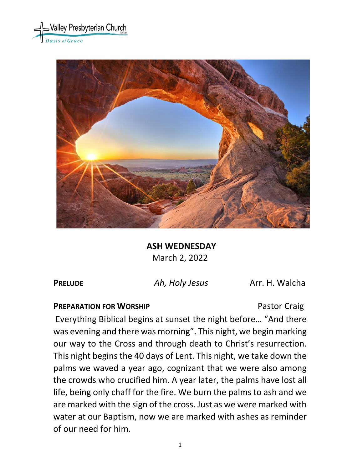



**ASH WEDNESDAY** March 2, 2022

**PRELUDE** *Ah, Holy Jesus* Arr. H. Walcha

### **PREPARATION FOR WORSHIP <b>PREPARATION** FOR WORSHIP

Everything Biblical begins at sunset the night before… "And there was evening and there was morning". This night, we begin marking our way to the Cross and through death to Christ's resurrection. This night begins the 40 days of Lent. This night, we take down the palms we waved a year ago, cognizant that we were also among the crowds who crucified him. A year later, the palms have lost all life, being only chaff for the fire. We burn the palms to ash and we are marked with the sign of the cross. Just as we were marked with water at our Baptism, now we are marked with ashes as reminder of our need for him.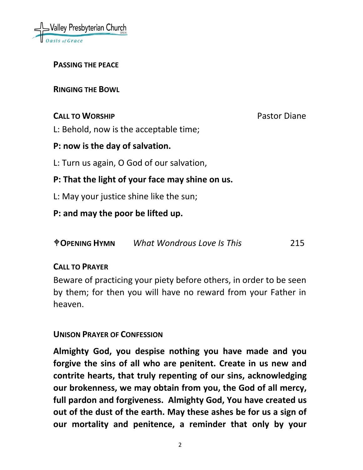

### **PASSING THE PEACE**

### **RINGING THE BOWL**

### **CALL TO WORSHIP CALL TO WORSHIP**

L: Behold, now is the acceptable time;

# **P: now is the day of salvation.**

L: Turn us again, O God of our salvation,

# **P: That the light of your face may shine on us.**

L: May your justice shine like the sun;

# **P: and may the poor be lifted up.**

| <b><i><u>OPENING HYMN</u></i></b> | What Wondrous Love Is This | 215 |
|-----------------------------------|----------------------------|-----|
|-----------------------------------|----------------------------|-----|

### **CALL TO PRAYER**

Beware of practicing your piety before others, in order to be seen by them; for then you will have no reward from your Father in heaven.

### **UNISON PRAYER OF CONFESSION**

**Almighty God, you despise nothing you have made and you forgive the sins of all who are penitent. Create in us new and contrite hearts, that truly repenting of our sins, acknowledging our brokenness, we may obtain from you, the God of all mercy, full pardon and forgiveness. Almighty God, You have created us out of the dust of the earth. May these ashes be for us a sign of our mortality and penitence, a reminder that only by your**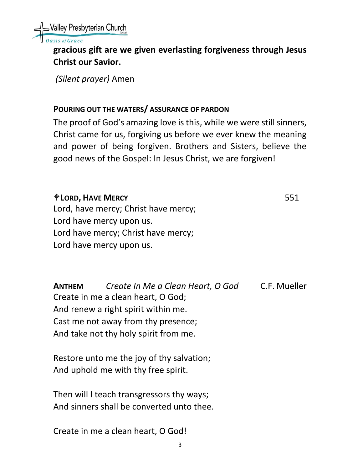

sis of Grace

# **gracious gift are we given everlasting forgiveness through Jesus Christ our Savior.**

*(Silent prayer)* Amen

### **POURING OUT THE WATERS/ ASSURANCE OF PARDON**

The proof of God's amazing love is this, while we were still sinners, Christ came for us, forgiving us before we ever knew the meaning and power of being forgiven. Brothers and Sisters, believe the good news of the Gospel: In Jesus Christ, we are forgiven!

**LORD, HAVE MERCY** 551 Lord, have mercy; Christ have mercy; Lord have mercy upon us. Lord have mercy; Christ have mercy; Lord have mercy upon us.

**ANTHEM** *Create In Me a Clean Heart, O God* C.F. Mueller Create in me a clean heart, O God; And renew a right spirit within me. Cast me not away from thy presence; And take not thy holy spirit from me.

Restore unto me the joy of thy salvation; And uphold me with thy free spirit.

Then will I teach transgressors thy ways; And sinners shall be converted unto thee.

Create in me a clean heart, O God!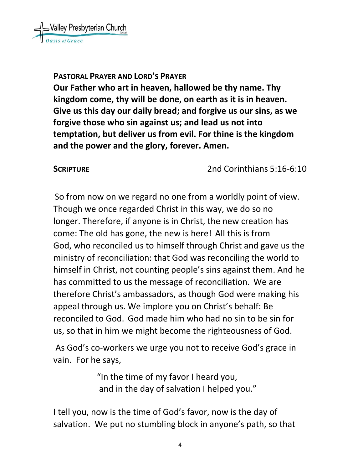

### **PASTORAL PRAYER AND LORD'S PRAYER**

**Our Father who art in heaven, hallowed be thy name. Thy kingdom come, thy will be done, on earth as it is in heaven. Give us this day our daily bread; and forgive us our sins, as we forgive those who sin against us; and lead us not into temptation, but deliver us from evil. For thine is the kingdom and the power and the glory, forever. Amen.** 

**SCRIPTURE** 2nd Corinthians 5:16-6:10

So from now on we regard no one from a worldly point of view. Though we once regarded Christ in this way, we do so no longer. Therefore, if anyone is in Christ, the new creation has come: The old has gone, the new is here! All this is from God, who reconciled us to himself through Christ and gave us the ministry of reconciliation: that God was reconciling the world to himself in Christ, not counting people's sins against them. And he has committed to us the message of reconciliation. We are therefore Christ's ambassadors, as though God were making his appeal through us. We implore you on Christ's behalf: Be reconciled to God. God made him who had no sin to be sin for us, so that in him we might become the righteousness of God.

As God's co-workers we urge you not to receive God's grace in vain. For he says,

> "In the time of my favor I heard you, and in the day of salvation I helped you."

I tell you, now is the time of God's favor, now is the day of salvation. We put no stumbling block in anyone's path, so that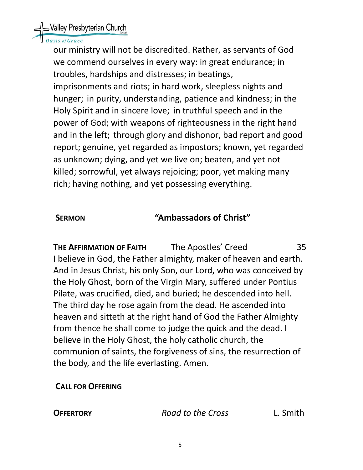Nalley Presbyterian Church

### sis of Grace

our ministry will not be discredited. Rather, as servants of God we commend ourselves in every way: in great endurance; in troubles, hardships and distresses; in beatings, imprisonments and riots; in hard work, sleepless nights and hunger; in purity, understanding, patience and kindness; in the Holy Spirit and in sincere love; in truthful speech and in the power of God; with weapons of righteousness in the right hand and in the left; through glory and dishonor, bad report and good report; genuine, yet regarded as impostors; known, yet regarded as unknown; dying, and yet we live on; beaten, and yet not killed; sorrowful, yet always rejoicing; poor, yet making many rich; having nothing, and yet possessing everything.

# **SERMON "Ambassadors of Christ"**

**THE AFFIRMATION OF FAITH** The Apostles' Creed 35 I believe in God, the Father almighty, maker of heaven and earth. And in Jesus Christ, his only Son, our Lord, who was conceived by the Holy Ghost, born of the Virgin Mary, suffered under Pontius Pilate, was crucified, died, and buried; he descended into hell. The third day he rose again from the dead. He ascended into heaven and sitteth at the right hand of God the Father Almighty from thence he shall come to judge the quick and the dead. I believe in the Holy Ghost, the holy catholic church, the communion of saints, the forgiveness of sins, the resurrection of the body, and the life everlasting. Amen.

# **CALL FOR OFFERING**

**OFFERTORY** *Road to the Cross* L. Smith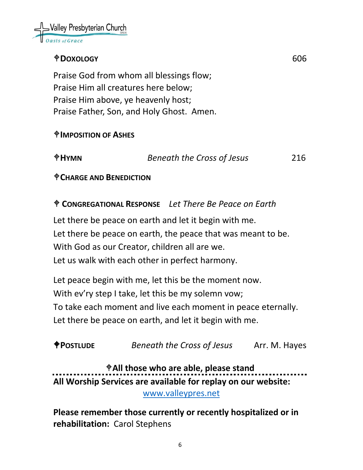# **DOXOLOGY** 606

Praise God from whom all blessings flow; Praise Him all creatures here below; Praise Him above, ye heavenly host; Praise Father, Son, and Holy Ghost. Amen.

# **IMPOSITION OF ASHES**

| $\triangle$ HYMN | <b>Beneath the Cross of Jesus</b> | 216 |
|------------------|-----------------------------------|-----|
|                  |                                   |     |

# **CHARGE AND BENEDICTION**

# **CONGREGATIONAL RESPONSE** *Let There Be Peace on Earth*

Let there be peace on earth and let it begin with me. Let there be peace on earth, the peace that was meant to be. With God as our Creator, children all are we. Let us walk with each other in perfect harmony.

Let peace begin with me, let this be the moment now. With ev'ry step I take, let this be my solemn vow; To take each moment and live each moment in peace eternally. Let there be peace on earth, and let it begin with me.

**POSTLUDE** *Beneath the Cross of Jesus* Arr. M. Hayes

**All those who are able, please stand All Worship Services are available for replay on our website:**  [www.valleypres.net](http://www.valleypres.net/)

**Please remember those currently or recently hospitalized or in rehabilitation:** Carol Stephens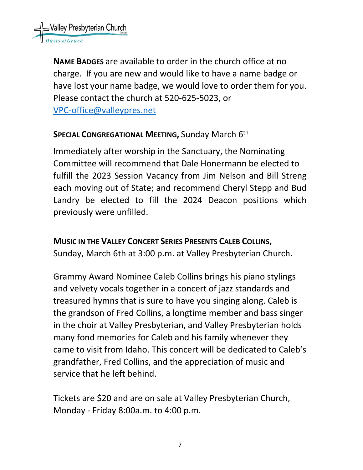

**NAME BADGES** are available to order in the church office at no charge. If you are new and would like to have a name badge or have lost your name badge, we would love to order them for you. Please contact the church at 520-625-5023, or [VPC-office@valleypres.net](mailto:VPC-office@valleypres.net)

# **SPECIAL CONGREGATIONAL MEETING,** Sunday March 6th

Immediately after worship in the Sanctuary, the Nominating Committee will recommend that Dale Honermann be elected to fulfill the 2023 Session Vacancy from Jim Nelson and Bill Streng each moving out of State; and recommend Cheryl Stepp and Bud Landry be elected to fill the 2024 Deacon positions which previously were unfilled.

# **MUSIC IN THE VALLEY CONCERT SERIES PRESENTS CALEB COLLINS,**

Sunday, March 6th at 3:00 p.m. at Valley Presbyterian Church.

Grammy Award Nominee Caleb Collins brings his piano stylings and velvety vocals together in a concert of jazz standards and treasured hymns that is sure to have you singing along. Caleb is the grandson of Fred Collins, a longtime member and bass singer in the choir at Valley Presbyterian, and Valley Presbyterian holds many fond memories for Caleb and his family whenever they came to visit from Idaho. This concert will be dedicated to Caleb's grandfather, Fred Collins, and the appreciation of music and service that he left behind.

Tickets are \$20 and are on sale at Valley Presbyterian Church, Monday - Friday 8:00a.m. to 4:00 p.m.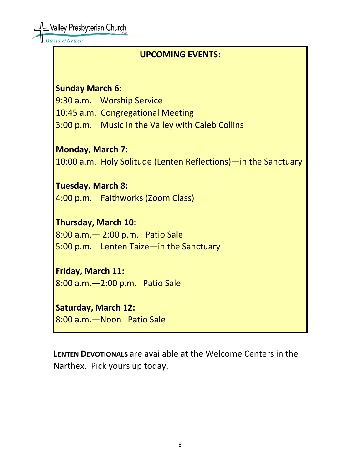### **UPCOMING EVENTS:**

# **Sunday March 6:**

9:30 a.m. Worship Service 10:45 a.m. Congregational Meeting 3:00 p.m. Music in the Valley with Caleb Collins

**Monday, March 7:**  10:00 a.m. Holy Solitude (Lenten Reflections)—in the Sanctuary

**Tuesday, March 8:** 4:00 p.m. Faithworks (Zoom Class)

**Thursday, March 10:** 8:00 a.m.— 2:00 p.m. Patio Sale 5:00 p.m. Lenten Taize—in the Sanctuary

**Friday, March 11:** 8:00 a.m.—2:00 p.m. Patio Sale

**Saturday, March 12:**  8:00 a.m.—Noon Patio Sale

**LENTEN DEVOTIONALS** are available at the Welcome Centers in the Narthex. Pick yours up today.